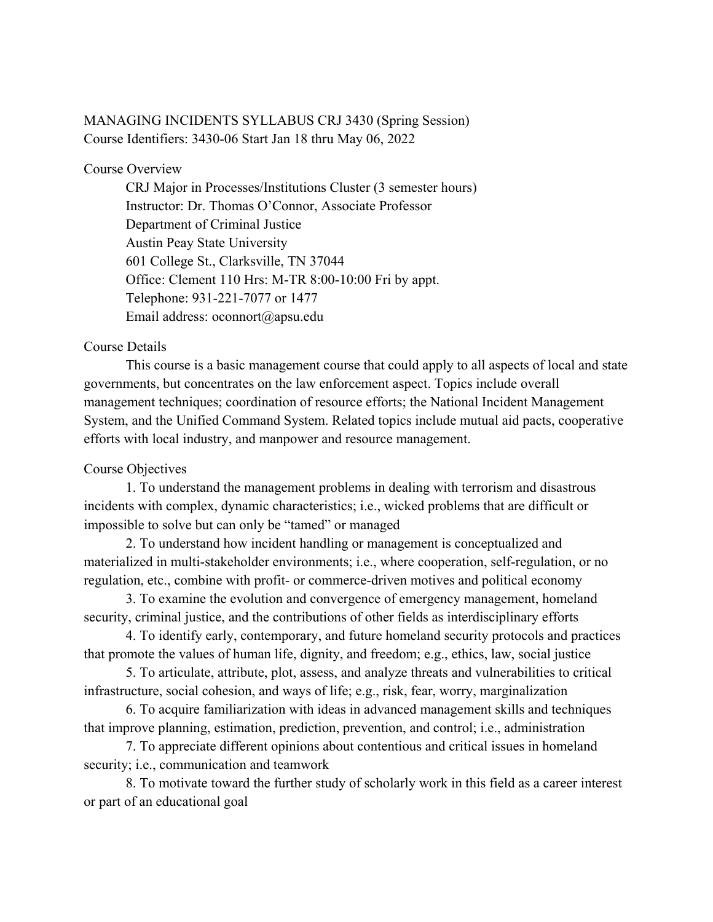# MANAGING INCIDENTS SYLLABUS CRJ 3430 (Spring Session) Course Identifiers: 3430-06 Start Jan 18 thru May 06, 2022

# Course Overview

CRJ Major in Processes/Institutions Cluster (3 semester hours) Instructor: Dr. Thomas O'Connor, Associate Professor Department of Criminal Justice Austin Peay State University 601 College St., Clarksville, TN 37044 Office: Clement 110 Hrs: M-TR 8:00-10:00 Fri by appt. Telephone: 931-221-7077 or 1477 Email address: oconnort@apsu.edu

# Course Details

This course is a basic management course that could apply to all aspects of local and state governments, but concentrates on the law enforcement aspect. Topics include overall management techniques; coordination of resource efforts; the National Incident Management System, and the Unified Command System. Related topics include mutual aid pacts, cooperative efforts with local industry, and manpower and resource management.

# Course Objectives

1. To understand the management problems in dealing with terrorism and disastrous incidents with complex, dynamic characteristics; i.e., wicked problems that are difficult or impossible to solve but can only be "tamed" or managed

2. To understand how incident handling or management is conceptualized and materialized in multi-stakeholder environments; i.e., where cooperation, self-regulation, or no regulation, etc., combine with profit- or commerce-driven motives and political economy

3. To examine the evolution and convergence of emergency management, homeland security, criminal justice, and the contributions of other fields as interdisciplinary efforts

4. To identify early, contemporary, and future homeland security protocols and practices that promote the values of human life, dignity, and freedom; e.g., ethics, law, social justice

5. To articulate, attribute, plot, assess, and analyze threats and vulnerabilities to critical infrastructure, social cohesion, and ways of life; e.g., risk, fear, worry, marginalization

6. To acquire familiarization with ideas in advanced management skills and techniques that improve planning, estimation, prediction, prevention, and control; i.e., administration

7. To appreciate different opinions about contentious and critical issues in homeland security; i.e., communication and teamwork

8. To motivate toward the further study of scholarly work in this field as a career interest or part of an educational goal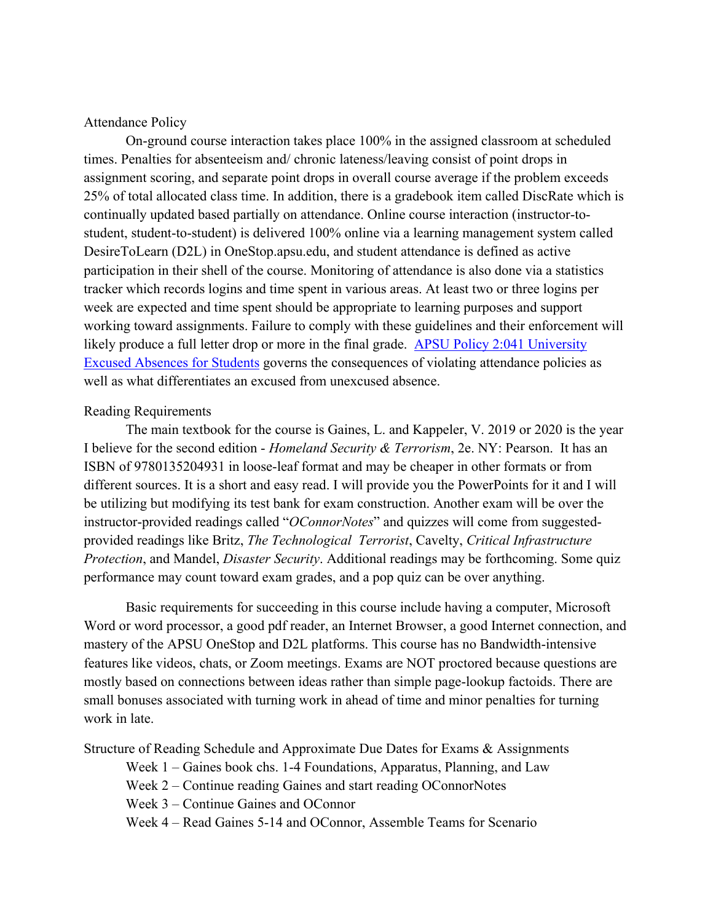# Attendance Policy

On-ground course interaction takes place 100% in the assigned classroom at scheduled times. Penalties for absenteeism and/ chronic lateness/leaving consist of point drops in assignment scoring, and separate point drops in overall course average if the problem exceeds 25% of total allocated class time. In addition, there is a gradebook item called DiscRate which is continually updated based partially on attendance. Online course interaction (instructor-tostudent, student-to-student) is delivered 100% online via a learning management system called DesireToLearn (D2L) in OneStop.apsu.edu, and student attendance is defined as active participation in their shell of the course. Monitoring of attendance is also done via a statistics tracker which records logins and time spent in various areas. At least two or three logins per week are expected and time spent should be appropriate to learning purposes and support working toward assignments. Failure to comply with these guidelines and their enforcement will likely produce a full letter drop or more in the final grade. [APSU Policy 2:041 University](https://apsu.policytech.com/docview/?docid=100&public=true)  [Excused Absences for Students](https://apsu.policytech.com/docview/?docid=100&public=true) governs the consequences of violating attendance policies as well as what differentiates an excused from unexcused absence.

#### Reading Requirements

The main textbook for the course is Gaines, L. and Kappeler, V. 2019 or 2020 is the year I believe for the second edition - *Homeland Security & Terrorism*, 2e. NY: Pearson. It has an ISBN of 9780135204931 in loose-leaf format and may be cheaper in other formats or from different sources. It is a short and easy read. I will provide you the PowerPoints for it and I will be utilizing but modifying its test bank for exam construction. Another exam will be over the instructor-provided readings called "*OConnorNotes*" and quizzes will come from suggestedprovided readings like Britz, *The Technological Terrorist*, Cavelty, *Critical Infrastructure Protection*, and Mandel, *Disaster Security*. Additional readings may be forthcoming. Some quiz performance may count toward exam grades, and a pop quiz can be over anything.

Basic requirements for succeeding in this course include having a computer, Microsoft Word or word processor, a good pdf reader, an Internet Browser, a good Internet connection, and mastery of the APSU OneStop and D2L platforms. This course has no Bandwidth-intensive features like videos, chats, or Zoom meetings. Exams are NOT proctored because questions are mostly based on connections between ideas rather than simple page-lookup factoids. There are small bonuses associated with turning work in ahead of time and minor penalties for turning work in late.

Structure of Reading Schedule and Approximate Due Dates for Exams & Assignments

Week 1 – Gaines book chs. 1-4 Foundations, Apparatus, Planning, and Law

Week 2 – Continue reading Gaines and start reading OConnorNotes

Week 3 – Continue Gaines and OConnor

Week 4 – Read Gaines 5-14 and OConnor, Assemble Teams for Scenario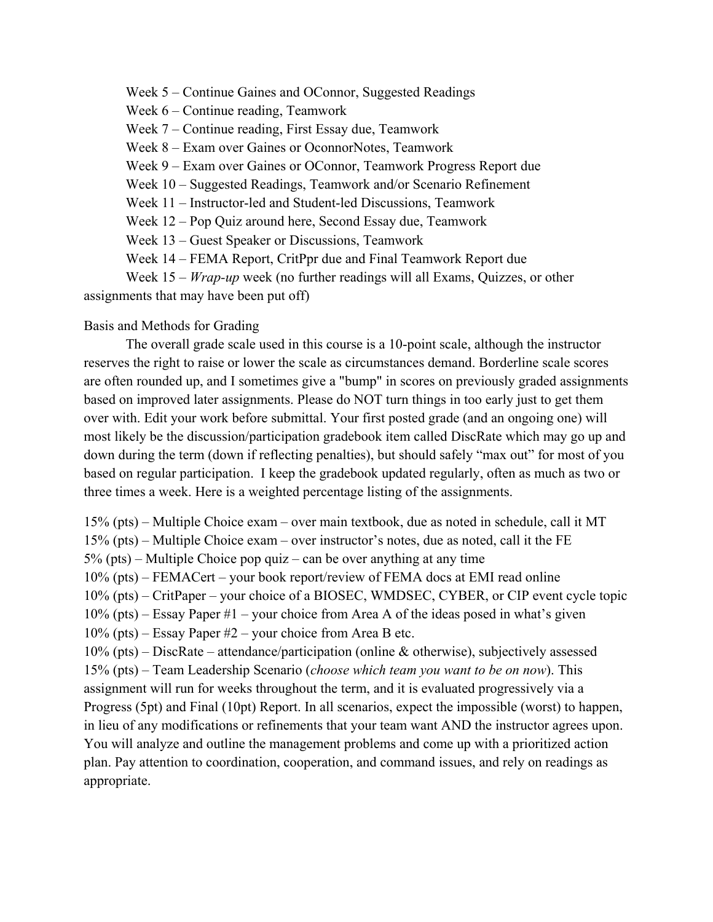Week 5 – Continue Gaines and OConnor, Suggested Readings

Week 6 – Continue reading, Teamwork

Week 7 – Continue reading, First Essay due, Teamwork

Week 8 – Exam over Gaines or OconnorNotes, Teamwork

Week 9 – Exam over Gaines or OConnor, Teamwork Progress Report due

Week 10 – Suggested Readings, Teamwork and/or Scenario Refinement

Week 11 – Instructor-led and Student-led Discussions, Teamwork

Week 12 – Pop Quiz around here, Second Essay due, Teamwork

Week 13 – Guest Speaker or Discussions, Teamwork

Week 14 – FEMA Report, CritPpr due and Final Teamwork Report due

Week 15 – *Wrap-up* week (no further readings will all Exams, Quizzes, or other assignments that may have been put off)

Basis and Methods for Grading

The overall grade scale used in this course is a 10-point scale, although the instructor reserves the right to raise or lower the scale as circumstances demand. Borderline scale scores are often rounded up, and I sometimes give a "bump" in scores on previously graded assignments based on improved later assignments. Please do NOT turn things in too early just to get them over with. Edit your work before submittal. Your first posted grade (and an ongoing one) will most likely be the discussion/participation gradebook item called DiscRate which may go up and down during the term (down if reflecting penalties), but should safely "max out" for most of you based on regular participation. I keep the gradebook updated regularly, often as much as two or three times a week. Here is a weighted percentage listing of the assignments.

15% (pts) – Multiple Choice exam – over main textbook, due as noted in schedule, call it MT

15% (pts) – Multiple Choice exam – over instructor's notes, due as noted, call it the FE

5% (pts) – Multiple Choice pop quiz – can be over anything at any time

10% (pts) – FEMACert – your book report/review of FEMA docs at EMI read online

10% (pts) – CritPaper – your choice of a BIOSEC, WMDSEC, CYBER, or CIP event cycle topic

10% (pts) – Essay Paper #1 – your choice from Area A of the ideas posed in what's given

10% (pts) – Essay Paper #2 – your choice from Area B etc.

10% (pts) – DiscRate – attendance/participation (online & otherwise), subjectively assessed

15% (pts) – Team Leadership Scenario (*choose which team you want to be on now*). This assignment will run for weeks throughout the term, and it is evaluated progressively via a Progress (5pt) and Final (10pt) Report. In all scenarios, expect the impossible (worst) to happen, in lieu of any modifications or refinements that your team want AND the instructor agrees upon. You will analyze and outline the management problems and come up with a prioritized action plan. Pay attention to coordination, cooperation, and command issues, and rely on readings as appropriate.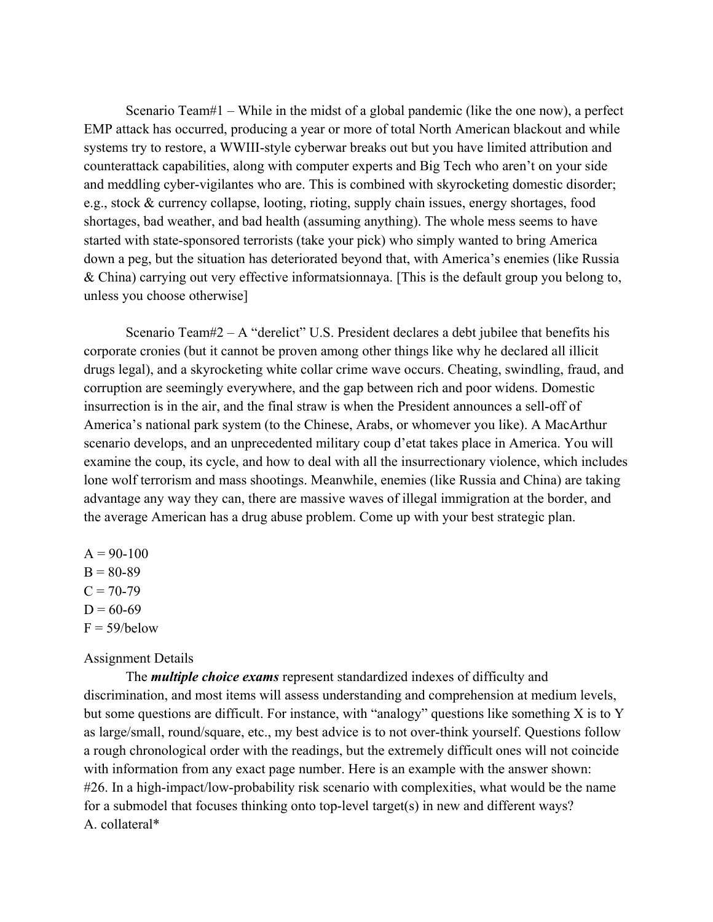Scenario Team#1 – While in the midst of a global pandemic (like the one now), a perfect EMP attack has occurred, producing a year or more of total North American blackout and while systems try to restore, a WWIII-style cyberwar breaks out but you have limited attribution and counterattack capabilities, along with computer experts and Big Tech who aren't on your side and meddling cyber-vigilantes who are. This is combined with skyrocketing domestic disorder; e.g., stock & currency collapse, looting, rioting, supply chain issues, energy shortages, food shortages, bad weather, and bad health (assuming anything). The whole mess seems to have started with state-sponsored terrorists (take your pick) who simply wanted to bring America down a peg, but the situation has deteriorated beyond that, with America's enemies (like Russia & China) carrying out very effective informatsionnaya. [This is the default group you belong to, unless you choose otherwise]

Scenario Team# $2 - A$  "derelict" U.S. President declares a debt jubilee that benefits his corporate cronies (but it cannot be proven among other things like why he declared all illicit drugs legal), and a skyrocketing white collar crime wave occurs. Cheating, swindling, fraud, and corruption are seemingly everywhere, and the gap between rich and poor widens. Domestic insurrection is in the air, and the final straw is when the President announces a sell-off of America's national park system (to the Chinese, Arabs, or whomever you like). A MacArthur scenario develops, and an unprecedented military coup d'etat takes place in America. You will examine the coup, its cycle, and how to deal with all the insurrectionary violence, which includes lone wolf terrorism and mass shootings. Meanwhile, enemies (like Russia and China) are taking advantage any way they can, there are massive waves of illegal immigration at the border, and the average American has a drug abuse problem. Come up with your best strategic plan.

 $A = 90-100$  $B = 80-89$  $C = 70-79$  $D = 60-69$  $F = 59/below$ 

# Assignment Details

The *multiple choice exams* represent standardized indexes of difficulty and discrimination, and most items will assess understanding and comprehension at medium levels, but some questions are difficult. For instance, with "analogy" questions like something X is to Y as large/small, round/square, etc., my best advice is to not over-think yourself. Questions follow a rough chronological order with the readings, but the extremely difficult ones will not coincide with information from any exact page number. Here is an example with the answer shown: #26. In a high-impact/low-probability risk scenario with complexities, what would be the name for a submodel that focuses thinking onto top-level target(s) in new and different ways? A. collateral\*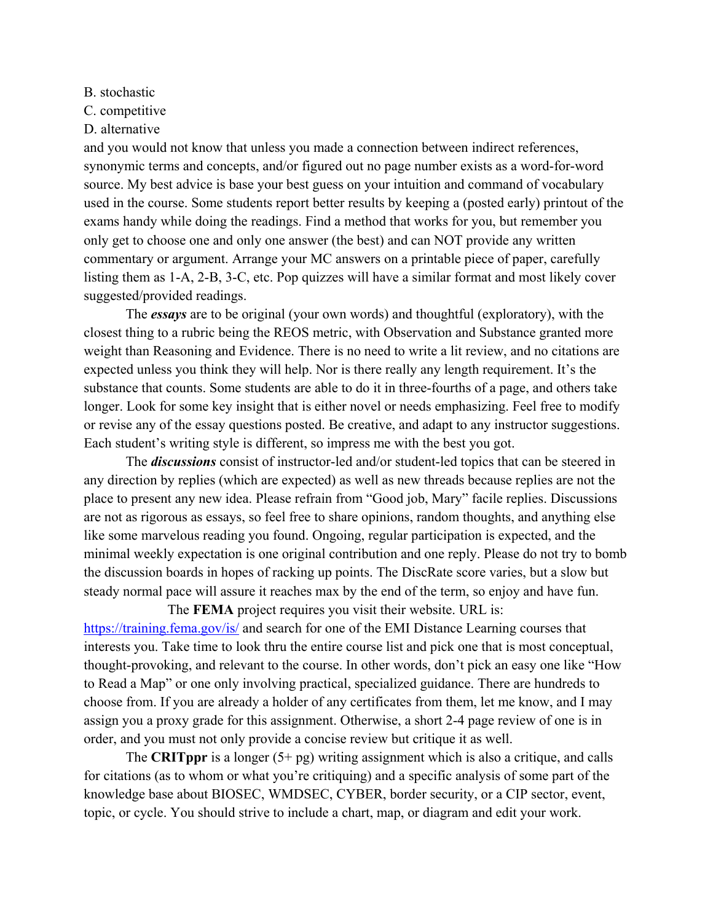B. stochastic

C. competitive

D. alternative

and you would not know that unless you made a connection between indirect references, synonymic terms and concepts, and/or figured out no page number exists as a word-for-word source. My best advice is base your best guess on your intuition and command of vocabulary used in the course. Some students report better results by keeping a (posted early) printout of the exams handy while doing the readings. Find a method that works for you, but remember you only get to choose one and only one answer (the best) and can NOT provide any written commentary or argument. Arrange your MC answers on a printable piece of paper, carefully listing them as 1-A, 2-B, 3-C, etc. Pop quizzes will have a similar format and most likely cover suggested/provided readings.

The *essays* are to be original (your own words) and thoughtful (exploratory), with the closest thing to a rubric being the REOS metric, with Observation and Substance granted more weight than Reasoning and Evidence. There is no need to write a lit review, and no citations are expected unless you think they will help. Nor is there really any length requirement. It's the substance that counts. Some students are able to do it in three-fourths of a page, and others take longer. Look for some key insight that is either novel or needs emphasizing. Feel free to modify or revise any of the essay questions posted. Be creative, and adapt to any instructor suggestions. Each student's writing style is different, so impress me with the best you got.

The *discussions* consist of instructor-led and/or student-led topics that can be steered in any direction by replies (which are expected) as well as new threads because replies are not the place to present any new idea. Please refrain from "Good job, Mary" facile replies. Discussions are not as rigorous as essays, so feel free to share opinions, random thoughts, and anything else like some marvelous reading you found. Ongoing, regular participation is expected, and the minimal weekly expectation is one original contribution and one reply. Please do not try to bomb the discussion boards in hopes of racking up points. The DiscRate score varies, but a slow but steady normal pace will assure it reaches max by the end of the term, so enjoy and have fun.

The **FEMA** project requires you visit their website. URL is: <https://training.fema.gov/is/> and search for one of the EMI Distance Learning courses that interests you. Take time to look thru the entire course list and pick one that is most conceptual, thought-provoking, and relevant to the course. In other words, don't pick an easy one like "How to Read a Map" or one only involving practical, specialized guidance. There are hundreds to choose from. If you are already a holder of any certificates from them, let me know, and I may assign you a proxy grade for this assignment. Otherwise, a short 2-4 page review of one is in order, and you must not only provide a concise review but critique it as well.

The **CRITppr** is a longer  $(5 + pg)$  writing assignment which is also a critique, and calls for citations (as to whom or what you're critiquing) and a specific analysis of some part of the knowledge base about BIOSEC, WMDSEC, CYBER, border security, or a CIP sector, event, topic, or cycle. You should strive to include a chart, map, or diagram and edit your work.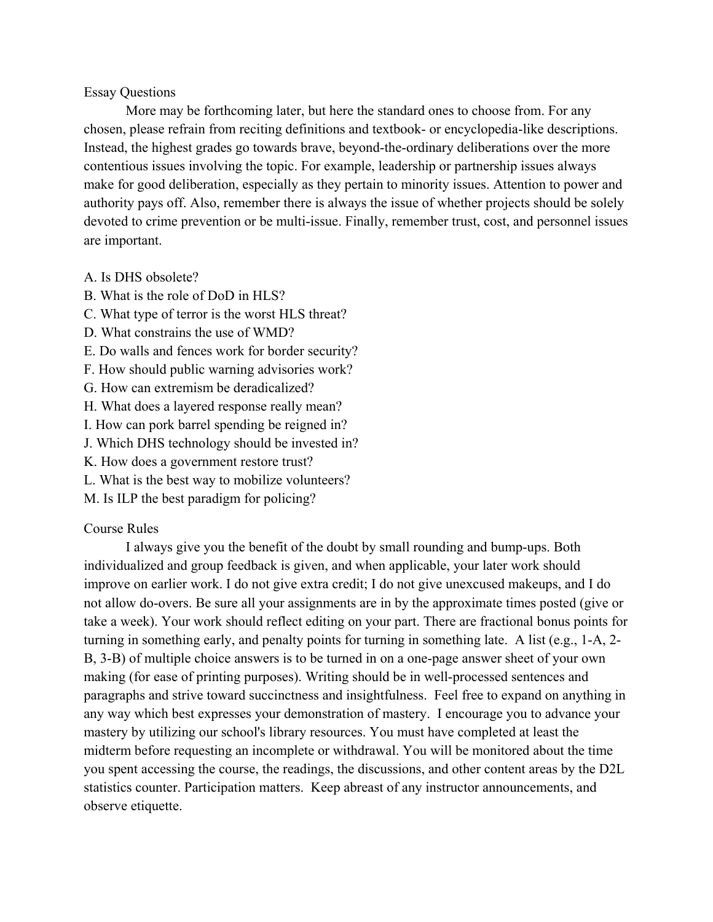# Essay Questions

More may be forthcoming later, but here the standard ones to choose from. For any chosen, please refrain from reciting definitions and textbook- or encyclopedia-like descriptions. Instead, the highest grades go towards brave, beyond-the-ordinary deliberations over the more contentious issues involving the topic. For example, leadership or partnership issues always make for good deliberation, especially as they pertain to minority issues. Attention to power and authority pays off. Also, remember there is always the issue of whether projects should be solely devoted to crime prevention or be multi-issue. Finally, remember trust, cost, and personnel issues are important.

#### A. Is DHS obsolete?

- B. What is the role of DoD in HLS?
- C. What type of terror is the worst HLS threat?
- D. What constrains the use of WMD?
- E. Do walls and fences work for border security?
- F. How should public warning advisories work?
- G. How can extremism be deradicalized?
- H. What does a layered response really mean?
- I. How can pork barrel spending be reigned in?
- J. Which DHS technology should be invested in?
- K. How does a government restore trust?
- L. What is the best way to mobilize volunteers?
- M. Is ILP the best paradigm for policing?

# Course Rules

I always give you the benefit of the doubt by small rounding and bump-ups. Both individualized and group feedback is given, and when applicable, your later work should improve on earlier work. I do not give extra credit; I do not give unexcused makeups, and I do not allow do-overs. Be sure all your assignments are in by the approximate times posted (give or take a week). Your work should reflect editing on your part. There are fractional bonus points for turning in something early, and penalty points for turning in something late. A list (e.g., 1-A, 2- B, 3-B) of multiple choice answers is to be turned in on a one-page answer sheet of your own making (for ease of printing purposes). Writing should be in well-processed sentences and paragraphs and strive toward succinctness and insightfulness. Feel free to expand on anything in any way which best expresses your demonstration of mastery. I encourage you to advance your mastery by utilizing our school's library resources. You must have completed at least the midterm before requesting an incomplete or withdrawal. You will be monitored about the time you spent accessing the course, the readings, the discussions, and other content areas by the D2L statistics counter. Participation matters. Keep abreast of any instructor announcements, and observe etiquette.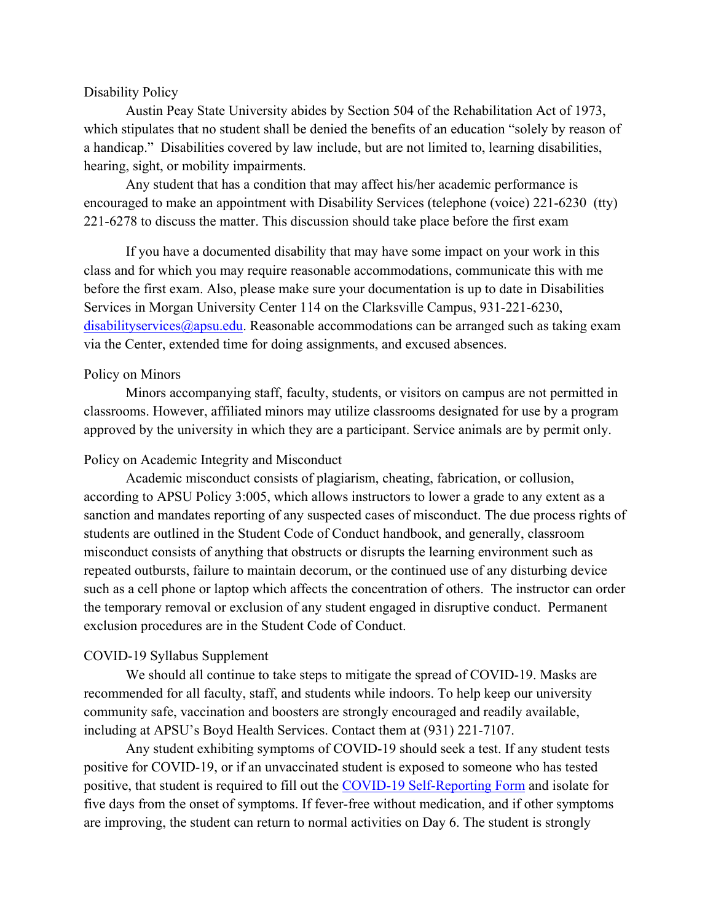### Disability Policy

Austin Peay State University abides by Section 504 of the Rehabilitation Act of 1973, which stipulates that no student shall be denied the benefits of an education "solely by reason of a handicap." Disabilities covered by law include, but are not limited to, learning disabilities, hearing, sight, or mobility impairments.

Any student that has a condition that may affect his/her academic performance is encouraged to make an appointment with Disability Services (telephone (voice) 221-6230 (tty) 221-6278 to discuss the matter. This discussion should take place before the first exam

If you have a documented disability that may have some impact on your work in this class and for which you may require reasonable accommodations, communicate this with me before the first exam. Also, please make sure your documentation is up to date in Disabilities Services in Morgan University Center 114 on the Clarksville Campus, 931-221-6230, [disabilityservices@apsu.edu.](mailto:disabilityservices@apsu.edu) Reasonable accommodations can be arranged such as taking exam via the Center, extended time for doing assignments, and excused absences.

#### Policy on Minors

Minors accompanying staff, faculty, students, or visitors on campus are not permitted in classrooms. However, affiliated minors may utilize classrooms designated for use by a program approved by the university in which they are a participant. Service animals are by permit only.

#### Policy on Academic Integrity and Misconduct

Academic misconduct consists of plagiarism, cheating, fabrication, or collusion, according to APSU Policy 3:005, which allows instructors to lower a grade to any extent as a sanction and mandates reporting of any suspected cases of misconduct. The due process rights of students are outlined in the Student Code of Conduct handbook, and generally, classroom misconduct consists of anything that obstructs or disrupts the learning environment such as repeated outbursts, failure to maintain decorum, or the continued use of any disturbing device such as a cell phone or laptop which affects the concentration of others. The instructor can order the temporary removal or exclusion of any student engaged in disruptive conduct. Permanent exclusion procedures are in the Student Code of Conduct.

# COVID-19 Syllabus Supplement

We should all continue to take steps to mitigate the spread of COVID-19. Masks are recommended for all faculty, staff, and students while indoors. To help keep our university community safe, vaccination and boosters are strongly encouraged and readily available, including at APSU's Boyd Health Services. Contact them at (931) 221-7107.

Any student exhibiting symptoms of COVID-19 should seek a test. If any student tests positive for COVID-19, or if an unvaccinated student is exposed to someone who has tested positive, that student is required to fill out the [COVID-19 Self-Reporting Form](https://cm.maxient.com/reportingform.php?AustinPeayStateUniv&layout_id=19) and isolate for five days from the onset of symptoms. If fever-free without medication, and if other symptoms are improving, the student can return to normal activities on Day 6. The student is strongly